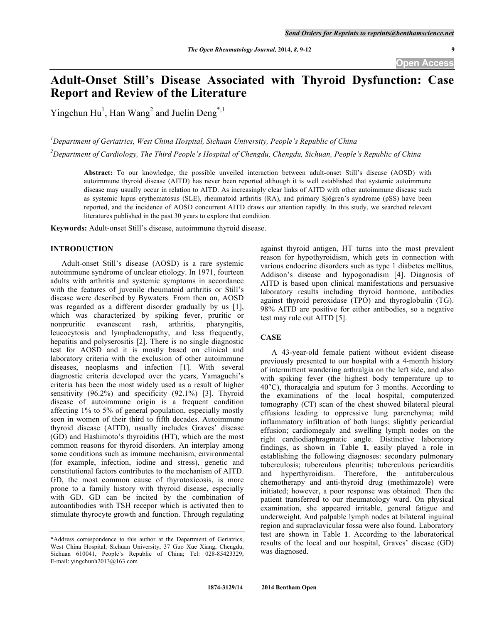# **Adult-Onset Still's Disease Associated with Thyroid Dysfunction: Case Report and Review of the Literature**

Yingchun Hu<sup>1</sup>, Han Wang<sup>2</sup> and Juelin Deng<sup>\*,1</sup>

*1 Department of Geriatrics, West China Hospital, Sichuan University, People's Republic of China*

*2 Department of Cardiology, The Third People's Hospital of Chengdu, Chengdu, Sichuan, People's Republic of China*

**Abstract:** To our knowledge, the possible unveiled interaction between adult-onset Still's disease (AOSD) with autoimmune thyroid disease (AITD) has never been reported although it is well established that systemic autoimmune disease may usually occur in relation to AITD. As increasingly clear links of AITD with other autoimmune disease such as systemic lupus erythematosus (SLE), rheumatoid arthritis (RA), and primary Sjögren's syndrome (pSS) have been reported, and the incidence of AOSD concurrent AITD draws our attention rapidly. In this study, we searched relevant literatures published in the past 30 years to explore that condition.

**Keywords:** Adult-onset Still's disease, autoimmune thyroid disease.

# **INTRODUCTION**

Adult-onset Still's disease (AOSD) is a rare systemic autoimmune syndrome of unclear etiology. In 1971, fourteen adults with arthritis and systemic symptoms in accordance with the features of juvenile rheumatoid arthritis or Still's disease were described by Bywaters. From then on, AOSD was regarded as a different disorder gradually by us [1], which was characterized by spiking fever, pruritic or nonpruritic evanescent rash, arthritis, pharyngitis. nonpruritic evanescent rash, arthritis, leucocytosis and lymphadenopathy, and less frequently, hepatitis and polyserositis [2]. There is no single diagnostic test for AOSD and it is mostly based on clinical and laboratory criteria with the exclusion of other autoimmune diseases, neoplasms and infection [1]. With several diagnostic criteria developed over the years, Yamaguchi's criteria has been the most widely used as a result of higher sensitivity (96.2%) and specificity (92.1%) [3]. Thyroid disease of autoimmune origin is a frequent condition affecting 1% to 5% of general population, especially mostly seen in women of their third to fifth decades. Autoimmune thyroid disease (AITD), usually includes Graves' disease (GD) and Hashimoto's thyroiditis (HT), which are the most common reasons for thyroid disorders. An interplay among some conditions such as immune mechanism, environmental (for example, infection, iodine and stress), genetic and constitutional factors contributes to the mechanism of AITD. GD, the most common cause of thyrotoxicosis, is more prone to a family history with thyroid disease, especially with GD. GD can be incited by the combination of autoantibodies with TSH recepor which is activated then to stimulate thyrocyte growth and function. Through regulating

\*Address correspondence to this author at the Department of Geriatrics, West China Hospital, Sichuan University, 37 Guo Xue Xiang, Chengdu, Sichuan 610041, People's Republic of China; Tel: 028-85423329; E-mail: yingchunh2013@163.com

against thyroid antigen, HT turns into the most prevalent reason for hypothyroidism, which gets in connection with various endocrine disorders such as type 1 diabetes mellitus, Addison's disease and hypogonadism [4]. Diagnosis of AITD is based upon clinical manifestations and persuasive laboratory results including thyroid hormone, antibodies against thyroid peroxidase (TPO) and thyroglobulin (TG). 98% AITD are positive for either antibodies, so a negative test may rule out AITD [5].

# **CASE**

A 43-year-old female patient without evident disease previously presented to our hospital with a 4-month history of intermittent wandering arthralgia on the left side, and also with spiking fever (the highest body temperature up to 40°C), thoracalgia and sputum for 3 months. According to the examinations of the local hospital, computerized tomography (CT) scan of the chest showed bilateral pleural effusions leading to oppressive lung parenchyma; mild inflammatory infiltration of both lungs; slightly pericardial effusion; cardiomegaly and swelling lymph nodes on the right cardiodiaphragmatic angle. Distinctive laboratory findings, as shown in Table **1**, easily played a role in establishing the following diagnoses: secondary pulmonary tuberculosis; tuberculous pleuritis; tuberculous pericarditis and hyperthyroidism. Therefore, the antituberculous chemotherapy and anti-thyroid drug (methimazole) were initiated; however, a poor response was obtained. Then the patient transferred to our rheumatology ward. On physical examination, she appeared irritable, general fatigue and underweight. And palpable lymph nodes at bilateral inguinal region and supraclavicular fossa were also found. Laboratory test are shown in Table **1**. According to the laboratorical results of the local and our hospital, Graves' disease (GD) was diagnosed.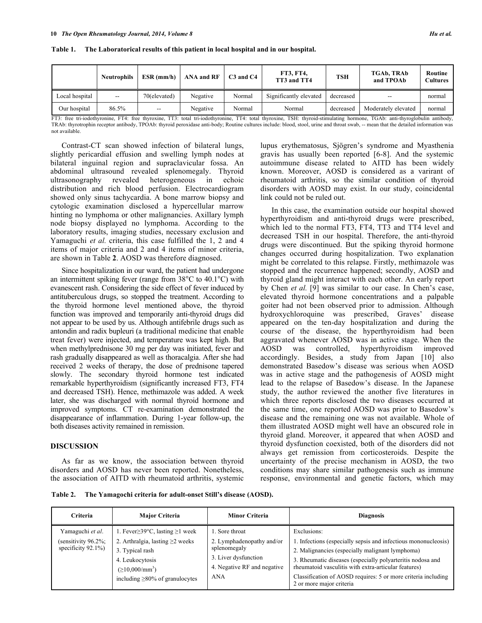|                | <b>Neutrophils</b>       | $ESR$ (mm/h) | <b>ANA and RF</b> | $C3$ and $C4$ | <b>FT3, FT4,</b><br>TT3 and TT4 | <b>TSH</b> | TGAb, TRAb<br>and TPOAb | Routine<br>Cultures |
|----------------|--------------------------|--------------|-------------------|---------------|---------------------------------|------------|-------------------------|---------------------|
| Local hospital | $\overline{\phantom{m}}$ | 70(elevated) | Negative          | Normal        | Significantly elevated          | decreased  | --                      | normal              |
| Our hospital   | 86.5%                    | $-$          | Negative          | Normal        | Normal                          | decreased  | Moderately elevated     | normal              |

**Table 1. The Laboratorical results of this patient in local hospital and in our hospital.**

FT3: free tri-iodothyronine, FT4: free thyroxine, TT3: total tri-iodothyronine, TT4: total thyroxine, TSH: thyroid-stimulating hormone, TGAb: anti-thyroglobulin antibody, TRAb: thyrotrophin receptor antibody, TPOAb: thyroid peroxidase anti-body; Routine cultures include: blood, stool, urine and throat swab, -- mean that the detailed information was not available.

Contrast-CT scan showed infection of bilateral lungs, slightly pericardial effusion and swelling lymph nodes at bilateral inguinal region and supraclavicular fossa. An abdominal ultrasound revealed splenomegaly. Thyroid ultrasonography revealed heterogeneous in echoic distribution and rich blood perfusion. Electrocardiogram showed only sinus tachycardia. A bone marrow biopsy and cytologic examination disclosed a hypercellular marrow hinting no lymphoma or other malignancies. Axillary lymph node biopsy displayed no lymphoma. According to the laboratory results, imaging studies, necessary exclusion and Yamaguchi *et al.* criteria, this case fulfilled the 1, 2 and 4 items of major criteria and 2 and 4 items of minor criteria, are shown in Table **2**. AOSD was therefore diagnosed.

Since hospitalization in our ward, the patient had undergone an intermittent spiking fever (range from 38°C to 40.1°C) with evanescent rash. Considering the side effect of fever induced by antituberculous drugs, so stopped the treatment. According to the thyroid hormone level mentioned above, the thyroid function was improved and temporarily anti-thyroid drugs did not appear to be used by us. Although antifebrile drugs such as antondin and radix bupleuri (a traditional medicine that enable treat fever) were injected, and temperature was kept high. But when methylprednisone 30 mg per day was initiated, fever and rash gradually disappeared as well as thoracalgia. After she had received 2 weeks of therapy, the dose of prednisone tapered slowly. The secondary thyroid hormone test indicated remarkable hyperthyroidism (significantly increased FT3, FT4 and decreased TSH). Hence, methimazole was added. A week later, she was discharged with normal thyroid hormone and improved symptoms. CT re-examination demonstrated the disappearance of inflammation. During 1-year follow-up, the both diseases activity remained in remission.

# **DISCUSSION**

As far as we know, the association between thyroid disorders and AOSD has never been reported. Nonetheless, the association of AITD with rheumatoid arthritis, systemic lupus erythematosus, Sjögren's syndrome and Myasthenia gravis has usually been reported [6-8]. And the systemic autoimmune disease related to AITD has been widely known. Moreover, AOSD is considered as a varirant of rheumatoid arthritis, so the similar condition of thyroid disorders with AOSD may exist. In our study, coincidental link could not be ruled out.

In this case, the examination outside our hospital showed hyperthyroidism and anti-thyroid drugs were prescribed, which led to the normal FT3, FT4, TT3 and TT4 level and decreased TSH in our hospital. Therefore, the anti-thyroid drugs were discontinued. But the spiking thyroid hormone changes occurred during hospitalization. Two explanation might be correlated to this relapse. Firstly, methimazole was stopped and the recurrence happened; secondly, AOSD and thyroid gland might interact with each other. An early report by Chen *et al.* [9] was similar to our case. In Chen's case, elevated thyroid hormone concentrations and a palpable goiter had not been observed prior to admission. Although hydroxychloroquine was prescribed, Graves' disease appeared on the ten-day hospitalization and during the course of the disease, the hyperthyroidism had been aggravated whenever AOSD was in active stage. When the AOSD was controlled, hyperthyroidism improved accordingly. Besides, a study from Japan [10] also demonstrated Basedow's disease was serious when AOSD was in active stage and the pathogenesis of AOSD might lead to the relapse of Basedow's disease. In the Japanese study, the author reviewed the another five literatures in which three reports disclosed the two diseases occurred at the same time, one reported AOSD was prior to Basedow's disease and the remaining one was not available. Whole of them illustrated AOSD might well have an obscured role in thyroid gland. Moreover, it appeared that when AOSD and thyroid dysfunction coexisted, both of the disorders did not always get remission from corticosteroids. Despite the uncertainty of the precise mechanism in AOSD, the two conditions may share similar pathogenesis such as immune response, environmental and genetic factors, which may

**Table 2. The Yamagochi criteria for adult-onset Still's disease (AOSD).**

| <b>Criteria</b>                                                       | <b>Major Criteria</b>                                                                                                                                                                      | <b>Minor Criteria</b>                                                                                                     | <b>Diagnosis</b>                                                                                                                                                                                                                                                                                                                                    |
|-----------------------------------------------------------------------|--------------------------------------------------------------------------------------------------------------------------------------------------------------------------------------------|---------------------------------------------------------------------------------------------------------------------------|-----------------------------------------------------------------------------------------------------------------------------------------------------------------------------------------------------------------------------------------------------------------------------------------------------------------------------------------------------|
| Yamaguchi et al.<br>(sensitivity $96.2\%$ ;<br>specificity $92.1\%$ ) | 1. Fever $\geq$ 39°C, lasting $\geq$ 1 week<br>2. Arthralgia, lasting $\geq$ weeks<br>3. Typical rash<br>4. Leukocytosis<br>$( \geq 10,000/mm^3)$<br>including $\geq 80\%$ of granulocytes | 1. Sore throat<br>2. Lymphadenopathy and/or<br>splenomegaly<br>3. Liver dysfunction<br>4. Negative RF and negative<br>ANA | Exclusions:<br>1. Infections (especially sepsis and infectious mononucleosis)<br>2. Malignancies (especially malignant lymphoma)<br>3. Rheumatic diseases (especially polyarteritis nodosa and<br>rheumatoid vasculitis with extra-articular features)<br>Classification of AOSD requires: 5 or more criteria including<br>2 or more major criteria |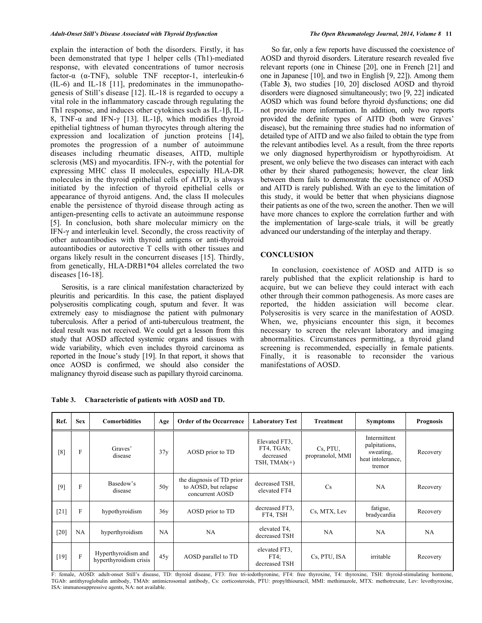explain the interaction of both the disorders. Firstly, it has been demonstrated that type 1 helper cells (Th1)-mediated response, with elevated concentrations of tumor necrosis factor-α (α-TNF), soluble TNF receptor-1, interleukin-6 (IL-6) and IL-18 [11], predominates in the immunopathogenesis of Still's disease [12]. IL-18 is regarded to occupy a vital role in the inflammatory cascade through regulating the Th1 response, and induces other cytokines such as IL-1β, IL-8, TNF-α and IFN-γ [13]. IL-1β, which modifies thyroid epithelial tightness of human thyrocytes through altering the expression and localization of junction proteins [14], promotes the progression of a number of autoimmune diseases including rheumatic diseases, AITD, multiple sclerosis (MS) and myocarditis. IFN-γ, with the potential for expressing MHC class II molecules, especially HLA-DR molecules in the thyroid epithelial cells of AITD, is always initiated by the infection of thyroid epithelial cells or appearance of thyroid antigens. And, the class II molecules enable the persistence of thyroid disease through acting as antigen-presenting cells to activate an autoimmune response [5]. In conclusion, both share molecular mimicry on the IFN-γ and interleukin level. Secondly, the cross reactivity of other autoantibodies with thyroid antigens or anti-thyroid autoantibodies or autorective T cells with other tissues and organs likely result in the concurrent diseases [15]. Thirdly, from genetically, HLA-DRB1\*04 alleles correlated the two diseases [16-18].

Serositis, is a rare clinical manifestation characterized by pleuritis and pericarditis. In this case, the patient displayed polyserositis complicating cough, sputum and fever. It was extremely easy to misdiagnose the patient with pulmonary tuberculosis. After a period of anti-tuberculous treatment, the ideal result was not received. We could get a lesson from this study that AOSD affected systemic organs and tissues with wide variability, which even includes thyroid carcinoma as reported in the Inoue's study [19]. In that report, it shows that once AOSD is confirmed, we should also consider the malignancy thyroid disease such as papillary thyroid carcinoma.

So far, only a few reports have discussed the coexistence of AOSD and thyroid disorders. Literature research revealed five relevant reports (one in Chinese [20], one in French [21] and one in Japanese [10], and two in English [9, 22]). Among them (Table **3**), two studies [10, 20] disclosed AOSD and thyroid disorders were diagnosed simultaneously; two [9, 22] indicated AOSD which was found before thyroid dysfunctions; one did not provide more information. In addition, only two reports provided the definite types of AITD (both were Graves' disease), but the remaining three studies had no information of detailed type of AITD and we also failed to obtain the type from the relevant antibodies level. As a result, from the three reports we only diagnosed hyperthyroidism or hypothyroidism. At present, we only believe the two diseases can interact with each other by their shared pathogenesis; however, the clear link between them fails to demonstrate the coexistence of AOSD and AITD is rarely published. With an eye to the limitation of this study, it would be better that when physicians diagnose their patients as one of the two, screen the another. Then we will have more chances to explore the correlation further and with the implementation of large-scale trials, it will be greatly advanced our understanding of the interplay and therapy.

#### **CONCLUSION**

In conclusion, coexistence of AOSD and AITD is so rarely published that the explicit relationship is hard to acquire, but we can believe they could interact with each other through their common pathogenesis. As more cases are reported, the hidden assiciation will become clear. Polyserositis is very scarce in the manifestation of AOSD. When, we, physicians encounter this sign, it becomes necessary to screen the relevant laboratory and imaging abnormalities. Circumstances permitting, a thyroid gland screening is recommended, especially in female patients. Finally, it is reasonable to reconsider the various manifestations of AOSD.

| Ref.   | <b>Sex</b>   | <b>Comorbidities</b>                          | Age             | <b>Order of the Occurrence</b>                                       | <b>Laboratory Test</b><br><b>Treatment</b>                 |                              | <b>Symptoms</b>                                                           | <b>Prognosis</b> |
|--------|--------------|-----------------------------------------------|-----------------|----------------------------------------------------------------------|------------------------------------------------------------|------------------------------|---------------------------------------------------------------------------|------------------|
| [8]    | F            | Graves'<br>disease                            | 37 <sub>V</sub> | AOSD prior to TD                                                     | Elevated FT3.<br>FT4, TGAb;<br>decreased<br>TSH, $TMAb(+)$ | Cs, PTU,<br>propranolol, MMI | Intermittent<br>palpitations,<br>sweating,<br>heat intolerance.<br>tremor | Recovery         |
| $[9]$  | F            | Basedow's<br>disease                          | 50v             | the diagnosis of TD prior<br>to AOSD, but relapse<br>concurrent AOSD | decreased TSH.<br>elevated FT4                             | Cs                           | NA                                                                        | Recovery         |
| $[21]$ | $\mathbf{F}$ | hypothyroidism                                | 36v             | AOSD prior to TD                                                     | decreased FT3,<br>FT4, TSH                                 | Cs, MTX, Lev                 | fatigue,<br>bradycardia                                                   | Recovery         |
| [20]   | NA           | hyperthyroidism                               | NA              | NA                                                                   | elevated T4.<br>decreased TSH                              | NA                           | NA                                                                        | NA               |
| $[19]$ | F            | Hyperthyroidism and<br>hyperthyroidism crisis | 45v             | AOSD parallel to TD                                                  | elevated FT3.<br>$FT4$ :<br>decreased TSH                  | Cs, PTU, ISA                 | irritable                                                                 | Recovery         |

**Table 3. Characteristic of patients with AOSD and TD.**

F: female, AOSD: adult-onset Still's disease, TD: thyroid disease, FT3: free tri-iodothyronine, FT4: free thyroxine, T4: thyroxine, TSH: thyroid-stimulating hormone, TGAb: antithyroglobulin antibody, TMAb: antimicrosomal antibody, Cs: corticosteroids, PTU: propylthiouracil, MMI: methimazole, MTX: methotrexate, Lev: levothyroxine, ISA: immunosuppressive agents, NA: not available.